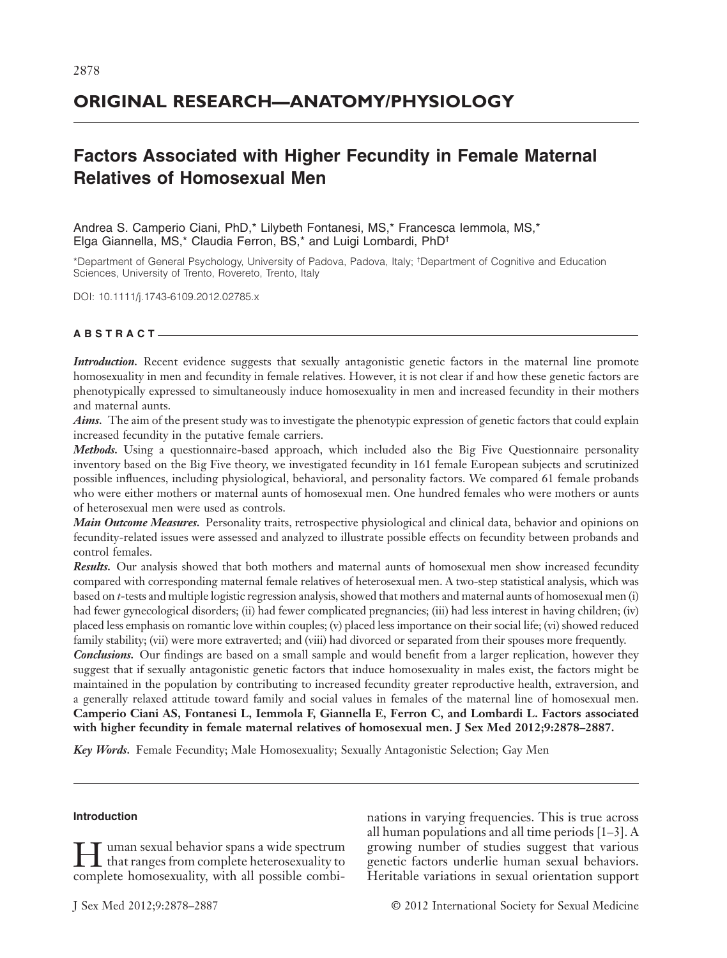# **Factors Associated with Higher Fecundity in Female Maternal Relatives of Homosexual Men**

Andrea S. Camperio Ciani, PhD,\* Lilybeth Fontanesi, MS,\* Francesca Iemmola, MS,\* Elga Giannella, MS,\* Claudia Ferron, BS,\* and Luigi Lombardi, PhD†

\*Department of General Psychology, University of Padova, Padova, Italy; † Department of Cognitive and Education Sciences, University of Trento, Rovereto, Trento, Italy

DOI: 10.1111/j.1743-6109.2012.02785.x

## **ABSTRACT**

*Introduction*. Recent evidence suggests that sexually antagonistic genetic factors in the maternal line promote homosexuality in men and fecundity in female relatives. However, it is not clear if and how these genetic factors are phenotypically expressed to simultaneously induce homosexuality in men and increased fecundity in their mothers and maternal aunts.

*Aims.* The aim of the present study was to investigate the phenotypic expression of genetic factors that could explain increased fecundity in the putative female carriers.

*Methods.* Using a questionnaire-based approach, which included also the Big Five Questionnaire personality inventory based on the Big Five theory, we investigated fecundity in 161 female European subjects and scrutinized possible influences, including physiological, behavioral, and personality factors. We compared 61 female probands who were either mothers or maternal aunts of homosexual men. One hundred females who were mothers or aunts of heterosexual men were used as controls.

*Main Outcome Measures.* Personality traits, retrospective physiological and clinical data, behavior and opinions on fecundity-related issues were assessed and analyzed to illustrate possible effects on fecundity between probands and control females.

*Results.* Our analysis showed that both mothers and maternal aunts of homosexual men show increased fecundity compared with corresponding maternal female relatives of heterosexual men. A two-step statistical analysis, which was based on *t*-tests and multiple logistic regression analysis, showed that mothers and maternal aunts of homosexual men (i) had fewer gynecological disorders; (ii) had fewer complicated pregnancies; (iii) had less interest in having children; (iv) placed less emphasis on romantic love within couples; (v) placed less importance on their social life; (vi) showed reduced family stability; (vii) were more extraverted; and (viii) had divorced or separated from their spouses more frequently.

*Conclusions.* Our findings are based on a small sample and would benefit from a larger replication, however they suggest that if sexually antagonistic genetic factors that induce homosexuality in males exist, the factors might be maintained in the population by contributing to increased fecundity greater reproductive health, extraversion, and a generally relaxed attitude toward family and social values in females of the maternal line of homosexual men. **Camperio Ciani AS, Fontanesi L, Iemmola F, Giannella E, Ferron C, and Lombardi L. Factors associated with higher fecundity in female maternal relatives of homosexual men. J Sex Med 2012;9:2878–2887.**

*Key Words.* Female Fecundity; Male Homosexuality; Sexually Antagonistic Selection; Gay Men

#### **Introduction**

I uman sexual behavior spans a wide spectrum<br>that ranges from complete heterosexuality to<br>complete hemogeneality, with all negatible sembicomplete homosexuality, with all possible combinations in varying frequencies. This is true across all human populations and all time periods [1–3]. A growing number of studies suggest that various genetic factors underlie human sexual behaviors. Heritable variations in sexual orientation support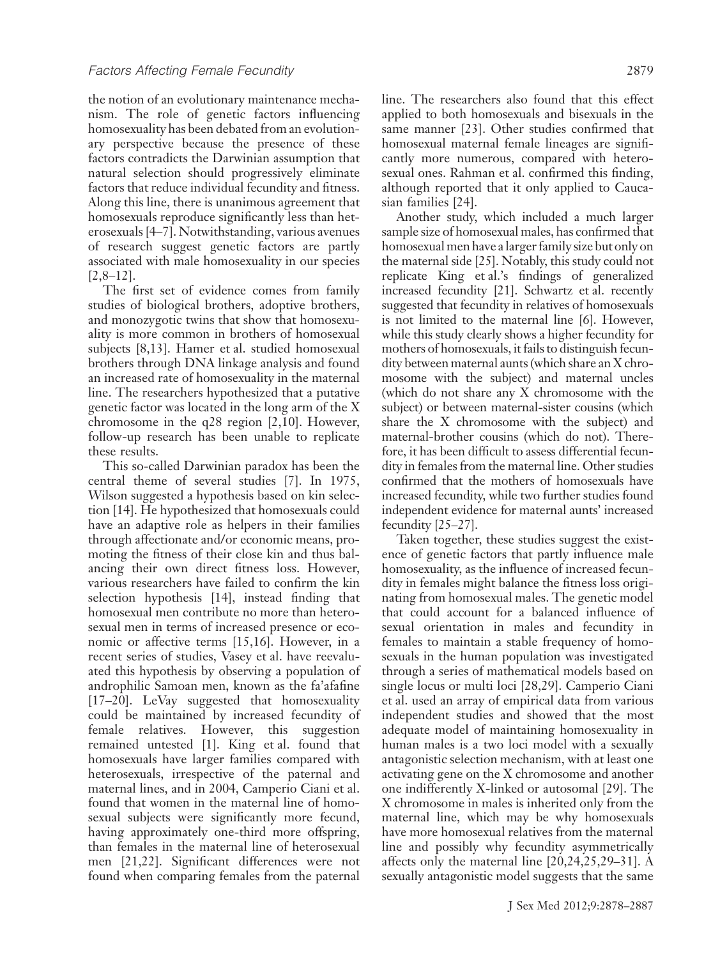the notion of an evolutionary maintenance mechanism. The role of genetic factors influencing homosexuality has been debated from an evolutionary perspective because the presence of these factors contradicts the Darwinian assumption that natural selection should progressively eliminate factors that reduce individual fecundity and fitness. Along this line, there is unanimous agreement that homosexuals reproduce significantly less than heterosexuals [4–7]. Notwithstanding, various avenues of research suggest genetic factors are partly associated with male homosexuality in our species [2,8–12].

The first set of evidence comes from family studies of biological brothers, adoptive brothers, and monozygotic twins that show that homosexuality is more common in brothers of homosexual subjects [8,13]. Hamer et al. studied homosexual brothers through DNA linkage analysis and found an increased rate of homosexuality in the maternal line. The researchers hypothesized that a putative genetic factor was located in the long arm of the X chromosome in the q28 region [2,10]. However, follow-up research has been unable to replicate these results.

This so-called Darwinian paradox has been the central theme of several studies [7]. In 1975, Wilson suggested a hypothesis based on kin selection [14]. He hypothesized that homosexuals could have an adaptive role as helpers in their families through affectionate and/or economic means, promoting the fitness of their close kin and thus balancing their own direct fitness loss. However, various researchers have failed to confirm the kin selection hypothesis [14], instead finding that homosexual men contribute no more than heterosexual men in terms of increased presence or economic or affective terms [15,16]. However, in a recent series of studies, Vasey et al. have reevaluated this hypothesis by observing a population of androphilic Samoan men, known as the fa'afafine [17–20]. LeVay suggested that homosexuality could be maintained by increased fecundity of female relatives. However, this suggestion remained untested [1]. King et al. found that homosexuals have larger families compared with heterosexuals, irrespective of the paternal and maternal lines, and in 2004, Camperio Ciani et al. found that women in the maternal line of homosexual subjects were significantly more fecund, having approximately one-third more offspring, than females in the maternal line of heterosexual men [21,22]. Significant differences were not found when comparing females from the paternal

line. The researchers also found that this effect applied to both homosexuals and bisexuals in the same manner [23]. Other studies confirmed that homosexual maternal female lineages are significantly more numerous, compared with heterosexual ones. Rahman et al. confirmed this finding, although reported that it only applied to Caucasian families [24].

Another study, which included a much larger sample size of homosexual males, has confirmed that homosexual men have a larger family size but only on the maternal side [25]. Notably, this study could not replicate King et al.'s findings of generalized increased fecundity [21]. Schwartz et al. recently suggested that fecundity in relatives of homosexuals is not limited to the maternal line [6]. However, while this study clearly shows a higher fecundity for mothers of homosexuals, it fails to distinguish fecundity between maternal aunts (which share an X chromosome with the subject) and maternal uncles (which do not share any X chromosome with the subject) or between maternal-sister cousins (which share the X chromosome with the subject) and maternal-brother cousins (which do not). Therefore, it has been difficult to assess differential fecundity in females from the maternal line. Other studies confirmed that the mothers of homosexuals have increased fecundity, while two further studies found independent evidence for maternal aunts' increased fecundity [25–27].

Taken together, these studies suggest the existence of genetic factors that partly influence male homosexuality, as the influence of increased fecundity in females might balance the fitness loss originating from homosexual males. The genetic model that could account for a balanced influence of sexual orientation in males and fecundity in females to maintain a stable frequency of homosexuals in the human population was investigated through a series of mathematical models based on single locus or multi loci [28,29]. Camperio Ciani et al. used an array of empirical data from various independent studies and showed that the most adequate model of maintaining homosexuality in human males is a two loci model with a sexually antagonistic selection mechanism, with at least one activating gene on the X chromosome and another one indifferently X-linked or autosomal [29]. The X chromosome in males is inherited only from the maternal line, which may be why homosexuals have more homosexual relatives from the maternal line and possibly why fecundity asymmetrically affects only the maternal line [20,24,25,29–31]. A sexually antagonistic model suggests that the same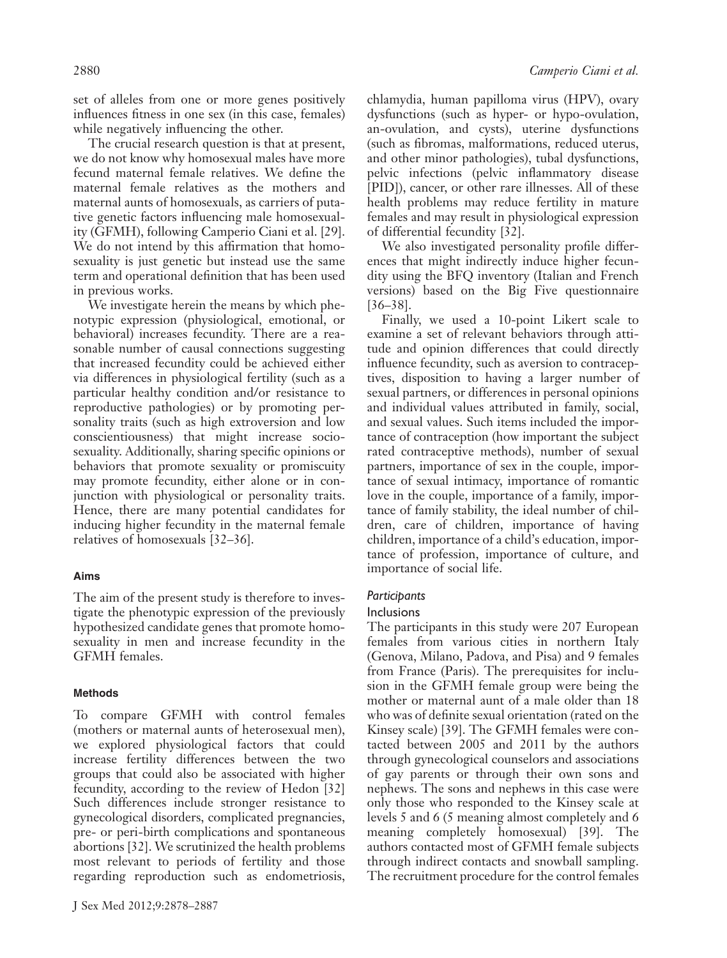set of alleles from one or more genes positively influences fitness in one sex (in this case, females) while negatively influencing the other.

The crucial research question is that at present, we do not know why homosexual males have more fecund maternal female relatives. We define the maternal female relatives as the mothers and maternal aunts of homosexuals, as carriers of putative genetic factors influencing male homosexuality (GFMH), following Camperio Ciani et al. [29]. We do not intend by this affirmation that homosexuality is just genetic but instead use the same term and operational definition that has been used in previous works.

We investigate herein the means by which phenotypic expression (physiological, emotional, or behavioral) increases fecundity. There are a reasonable number of causal connections suggesting that increased fecundity could be achieved either via differences in physiological fertility (such as a particular healthy condition and/or resistance to reproductive pathologies) or by promoting personality traits (such as high extroversion and low conscientiousness) that might increase sociosexuality. Additionally, sharing specific opinions or behaviors that promote sexuality or promiscuity may promote fecundity, either alone or in conjunction with physiological or personality traits. Hence, there are many potential candidates for inducing higher fecundity in the maternal female relatives of homosexuals [32–36].

## **Aims**

The aim of the present study is therefore to investigate the phenotypic expression of the previously hypothesized candidate genes that promote homosexuality in men and increase fecundity in the GFMH females.

#### **Methods**

To compare GFMH with control females (mothers or maternal aunts of heterosexual men), we explored physiological factors that could increase fertility differences between the two groups that could also be associated with higher fecundity, according to the review of Hedon [32] Such differences include stronger resistance to gynecological disorders, complicated pregnancies, pre- or peri-birth complications and spontaneous abortions [32]. We scrutinized the health problems most relevant to periods of fertility and those regarding reproduction such as endometriosis,

chlamydia, human papilloma virus (HPV), ovary dysfunctions (such as hyper- or hypo-ovulation, an-ovulation, and cysts), uterine dysfunctions (such as fibromas, malformations, reduced uterus, and other minor pathologies), tubal dysfunctions, pelvic infections (pelvic inflammatory disease [PID]), cancer, or other rare illnesses. All of these health problems may reduce fertility in mature females and may result in physiological expression of differential fecundity [32].

We also investigated personality profile differences that might indirectly induce higher fecundity using the BFQ inventory (Italian and French versions) based on the Big Five questionnaire [36–38].

Finally, we used a 10-point Likert scale to examine a set of relevant behaviors through attitude and opinion differences that could directly influence fecundity, such as aversion to contraceptives, disposition to having a larger number of sexual partners, or differences in personal opinions and individual values attributed in family, social, and sexual values. Such items included the importance of contraception (how important the subject rated contraceptive methods), number of sexual partners, importance of sex in the couple, importance of sexual intimacy, importance of romantic love in the couple, importance of a family, importance of family stability, the ideal number of children, care of children, importance of having children, importance of a child's education, importance of profession, importance of culture, and importance of social life.

## *Participants*

## Inclusions

The participants in this study were 207 European females from various cities in northern Italy (Genova, Milano, Padova, and Pisa) and 9 females from France (Paris). The prerequisites for inclusion in the GFMH female group were being the mother or maternal aunt of a male older than 18 who was of definite sexual orientation (rated on the Kinsey scale) [39]. The GFMH females were contacted between 2005 and 2011 by the authors through gynecological counselors and associations of gay parents or through their own sons and nephews. The sons and nephews in this case were only those who responded to the Kinsey scale at levels 5 and 6 (5 meaning almost completely and 6 meaning completely homosexual) [39]. The authors contacted most of GFMH female subjects through indirect contacts and snowball sampling. The recruitment procedure for the control females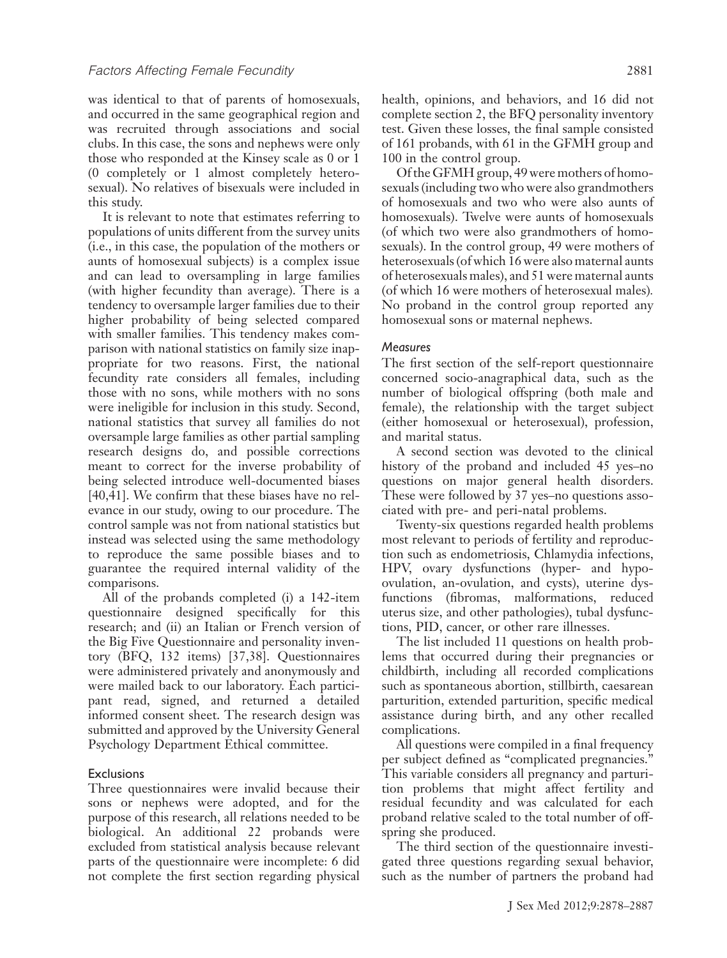was identical to that of parents of homosexuals, and occurred in the same geographical region and was recruited through associations and social clubs. In this case, the sons and nephews were only those who responded at the Kinsey scale as 0 or 1 (0 completely or 1 almost completely heterosexual). No relatives of bisexuals were included in this study.

It is relevant to note that estimates referring to populations of units different from the survey units (i.e., in this case, the population of the mothers or aunts of homosexual subjects) is a complex issue and can lead to oversampling in large families (with higher fecundity than average). There is a tendency to oversample larger families due to their higher probability of being selected compared with smaller families. This tendency makes comparison with national statistics on family size inappropriate for two reasons. First, the national fecundity rate considers all females, including those with no sons, while mothers with no sons were ineligible for inclusion in this study. Second, national statistics that survey all families do not oversample large families as other partial sampling research designs do, and possible corrections meant to correct for the inverse probability of being selected introduce well-documented biases [40,41]. We confirm that these biases have no relevance in our study, owing to our procedure. The control sample was not from national statistics but instead was selected using the same methodology to reproduce the same possible biases and to guarantee the required internal validity of the comparisons.

All of the probands completed (i) a 142-item questionnaire designed specifically for this research; and (ii) an Italian or French version of the Big Five Questionnaire and personality inventory (BFQ, 132 items) [37,38]. Questionnaires were administered privately and anonymously and were mailed back to our laboratory. Each participant read, signed, and returned a detailed informed consent sheet. The research design was submitted and approved by the University General Psychology Department Ethical committee.

## **Exclusions**

Three questionnaires were invalid because their sons or nephews were adopted, and for the purpose of this research, all relations needed to be biological. An additional 22 probands were excluded from statistical analysis because relevant parts of the questionnaire were incomplete: 6 did not complete the first section regarding physical

health, opinions, and behaviors, and 16 did not complete section 2, the BFQ personality inventory test. Given these losses, the final sample consisted of 161 probands, with 61 in the GFMH group and 100 in the control group.

Of the GFMH group, 49 were mothers of homosexuals (including two who were also grandmothers of homosexuals and two who were also aunts of homosexuals). Twelve were aunts of homosexuals (of which two were also grandmothers of homosexuals). In the control group, 49 were mothers of heterosexuals (of which 16 were also maternal aunts of heterosexuals males), and 51 were maternal aunts (of which 16 were mothers of heterosexual males)*.* No proband in the control group reported any homosexual sons or maternal nephews.

#### *Measures*

The first section of the self-report questionnaire concerned socio-anagraphical data, such as the number of biological offspring (both male and female), the relationship with the target subject (either homosexual or heterosexual), profession, and marital status.

A second section was devoted to the clinical history of the proband and included 45 yes–no questions on major general health disorders. These were followed by 37 yes–no questions associated with pre- and peri-natal problems.

Twenty-six questions regarded health problems most relevant to periods of fertility and reproduction such as endometriosis, Chlamydia infections, HPV, ovary dysfunctions (hyper- and hypoovulation, an-ovulation, and cysts), uterine dysfunctions (fibromas, malformations, reduced uterus size, and other pathologies), tubal dysfunctions, PID, cancer, or other rare illnesses.

The list included 11 questions on health problems that occurred during their pregnancies or childbirth, including all recorded complications such as spontaneous abortion, stillbirth, caesarean parturition, extended parturition, specific medical assistance during birth, and any other recalled complications.

All questions were compiled in a final frequency per subject defined as "complicated pregnancies." This variable considers all pregnancy and parturition problems that might affect fertility and residual fecundity and was calculated for each proband relative scaled to the total number of offspring she produced.

The third section of the questionnaire investigated three questions regarding sexual behavior, such as the number of partners the proband had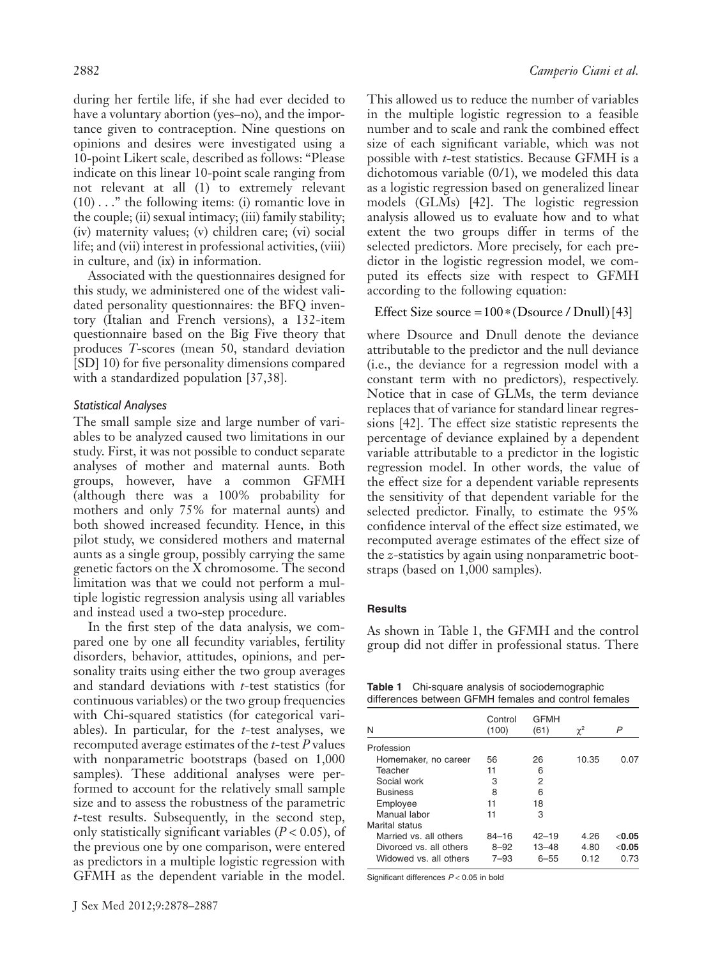during her fertile life, if she had ever decided to have a voluntary abortion (yes–no), and the importance given to contraception. Nine questions on opinions and desires were investigated using a 10-point Likert scale, described as follows: "Please indicate on this linear 10-point scale ranging from not relevant at all (1) to extremely relevant (10) . . ." the following items: (i) romantic love in the couple; (ii) sexual intimacy; (iii) family stability; (iv) maternity values; (v) children care; (vi) social life; and (vii) interest in professional activities, (viii) in culture, and (ix) in information.

Associated with the questionnaires designed for this study, we administered one of the widest validated personality questionnaires: the BFQ inventory (Italian and French versions), a 132-item questionnaire based on the Big Five theory that produces *T*-scores (mean 50, standard deviation [SD] 10) for five personality dimensions compared with a standardized population [37,38].

## *Statistical Analyses*

The small sample size and large number of variables to be analyzed caused two limitations in our study. First, it was not possible to conduct separate analyses of mother and maternal aunts. Both groups, however, have a common GFMH (although there was a 100% probability for mothers and only 75% for maternal aunts) and both showed increased fecundity. Hence, in this pilot study, we considered mothers and maternal aunts as a single group, possibly carrying the same genetic factors on the X chromosome. The second limitation was that we could not perform a multiple logistic regression analysis using all variables and instead used a two-step procedure.

In the first step of the data analysis, we compared one by one all fecundity variables, fertility disorders, behavior, attitudes, opinions, and personality traits using either the two group averages and standard deviations with *t-*test statistics (for continuous variables) or the two group frequencies with Chi-squared statistics (for categorical variables). In particular, for the *t-*test analyses, we recomputed average estimates of the *t-*test *P* values with nonparametric bootstraps (based on 1,000 samples). These additional analyses were performed to account for the relatively small sample size and to assess the robustness of the parametric *t-*test results. Subsequently, in the second step, only statistically significant variables (*P* < 0.05), of the previous one by one comparison, were entered as predictors in a multiple logistic regression with GFMH as the dependent variable in the model. This allowed us to reduce the number of variables in the multiple logistic regression to a feasible number and to scale and rank the combined effect size of each significant variable, which was not possible with *t-*test statistics. Because GFMH is a dichotomous variable (0/1), we modeled this data as a logistic regression based on generalized linear models (GLMs) [42]. The logistic regression analysis allowed us to evaluate how and to what extent the two groups differ in terms of the selected predictors. More precisely, for each predictor in the logistic regression model, we computed its effects size with respect to GFMH according to the following equation:

# Effect Size source =  $100 * (Dsource / Dnull)$ [43]

where Dsource and Dnull denote the deviance attributable to the predictor and the null deviance (i.e., the deviance for a regression model with a constant term with no predictors), respectively. Notice that in case of GLMs, the term deviance replaces that of variance for standard linear regressions [42]. The effect size statistic represents the percentage of deviance explained by a dependent variable attributable to a predictor in the logistic regression model. In other words, the value of the effect size for a dependent variable represents the sensitivity of that dependent variable for the selected predictor. Finally, to estimate the 95% confidence interval of the effect size estimated, we recomputed average estimates of the effect size of the *z-*statistics by again using nonparametric bootstraps (based on 1,000 samples).

## **Results**

As shown in Table 1, the GFMH and the control group did not differ in professional status. There

**Table 1** Chi-square analysis of sociodemographic differences between GFMH females and control females

| N                                                                           | Control<br>(100)                  | <b>GFMH</b><br>(61)                | $\chi^2$             | P                        |
|-----------------------------------------------------------------------------|-----------------------------------|------------------------------------|----------------------|--------------------------|
| Profession                                                                  |                                   |                                    |                      |                          |
| Homemaker, no career                                                        | 56                                | 26                                 | 10.35                | 0.07                     |
| Teacher                                                                     | 11                                | 6                                  |                      |                          |
| Social work                                                                 | 3                                 | $\overline{2}$                     |                      |                          |
| <b>Business</b>                                                             | 8                                 | 6                                  |                      |                          |
| Employee                                                                    | 11                                | 18                                 |                      |                          |
| Manual labor                                                                | 11                                | З                                  |                      |                          |
| Marital status                                                              |                                   |                                    |                      |                          |
| Married vs. all others<br>Divorced vs. all others<br>Widowed vs. all others | $84 - 16$<br>$8 - 92$<br>$7 - 93$ | $42 - 19$<br>$13 - 48$<br>$6 - 55$ | 4.26<br>4.80<br>0.12 | < 0.05<br>< 0.05<br>0.73 |

Significant differences *P* < 0.05 in bold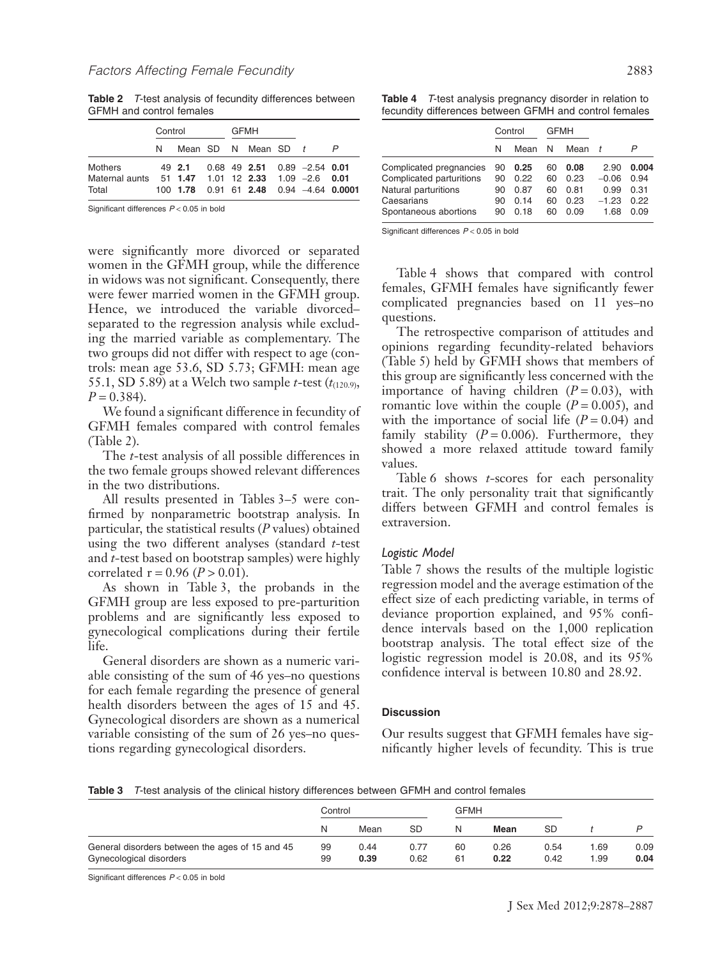**Table 2** *T*-test analysis of fecundity differences between GFMH and control females

|                                                                        | Control |  |  | <b>GFMH</b>         |                                     |                                         |
|------------------------------------------------------------------------|---------|--|--|---------------------|-------------------------------------|-----------------------------------------|
|                                                                        | N.      |  |  | Mean SD N Mean SD t |                                     |                                         |
| Mothers<br>Maternal aunts 51 1.47 1.01 12 2.33 1.09 -2.6 0.01<br>Total |         |  |  |                     | 49 2.1 0.68 49 2.51 0.89 -2.54 0.01 | 100 1.78 0.91 61 2.48 0.94 -4.64 0.0001 |

Significant differences *P* < 0.05 in bold

were significantly more divorced or separated women in the GFMH group, while the difference in widows was not significant. Consequently, there were fewer married women in the GFMH group. Hence, we introduced the variable divorced– separated to the regression analysis while excluding the married variable as complementary. The two groups did not differ with respect to age (controls: mean age 53.6, SD 5.73; GFMH: mean age 55.1, SD 5.89) at a Welch two sample *t*-test  $(t_{(120.9)},$  $P = 0.384$ .

We found a significant difference in fecundity of GFMH females compared with control females (Table 2).

The *t*-test analysis of all possible differences in the two female groups showed relevant differences in the two distributions.

All results presented in Tables 3–5 were confirmed by nonparametric bootstrap analysis. In particular, the statistical results (*P* values) obtained using the two different analyses (standard *t-*test and *t-*test based on bootstrap samples) were highly correlated  $r = 0.96$  ( $P > 0.01$ ).

As shown in Table 3, the probands in the GFMH group are less exposed to pre-parturition problems and are significantly less exposed to gynecological complications during their fertile life.

General disorders are shown as a numeric variable consisting of the sum of 46 yes–no questions for each female regarding the presence of general health disorders between the ages of 15 and 45. Gynecological disorders are shown as a numerical variable consisting of the sum of 26 yes–no questions regarding gynecological disorders.

| <b>Table 4</b> T-test analysis pregnancy disorder in relation to |
|------------------------------------------------------------------|
| fecundity differences between GFMH and control females           |

|                                                                                                                    | Control                    |                                      | GFMH                       |                                      |                                            |                                       |
|--------------------------------------------------------------------------------------------------------------------|----------------------------|--------------------------------------|----------------------------|--------------------------------------|--------------------------------------------|---------------------------------------|
|                                                                                                                    | N                          | Mean                                 | N                          | Mean                                 | $\mathbf{r}$                               |                                       |
| Complicated pregnancies<br>Complicated parturitions<br>Natural parturitions<br>Caesarians<br>Spontaneous abortions | 90<br>90<br>90<br>90<br>90 | 0.25<br>0.22<br>0.87<br>0.14<br>0.18 | 60<br>60<br>60<br>60<br>60 | 0.08<br>0.23<br>0.81<br>0.23<br>0.09 | 2.90<br>$-0.06$<br>0.99<br>$-1.23$<br>1.68 | 0.004<br>0.94<br>0.31<br>0.22<br>0.09 |

Significant differences  $P < 0.05$  in bold

Table 4 shows that compared with control females, GFMH females have significantly fewer complicated pregnancies based on 11 yes–no questions.

The retrospective comparison of attitudes and opinions regarding fecundity-related behaviors (Table 5) held by GFMH shows that members of this group are significantly less concerned with the importance of having children  $(P = 0.03)$ , with romantic love within the couple  $(P = 0.005)$ , and with the importance of social life  $(P = 0.04)$  and family stability  $(P = 0.006)$ . Furthermore, they showed a more relaxed attitude toward family values.

Table 6 shows *t-*scores for each personality trait. The only personality trait that significantly differs between GFMH and control females is extraversion.

#### *Logistic Model*

Table 7 shows the results of the multiple logistic regression model and the average estimation of the effect size of each predicting variable, in terms of deviance proportion explained, and 95% confidence intervals based on the 1,000 replication bootstrap analysis. The total effect size of the logistic regression model is 20.08, and its 95% confidence interval is between 10.80 and 28.92.

#### **Discussion**

Our results suggest that GFMH females have significantly higher levels of fecundity. This is true

**Table 3** *T*-test analysis of the clinical history differences between GFMH and control females

|                                                                            | Control  |              |              | <b>GFMH</b> |              |              |            |              |
|----------------------------------------------------------------------------|----------|--------------|--------------|-------------|--------------|--------------|------------|--------------|
|                                                                            | N        | Mean         | SD.          | N           | Mean         | SD           |            |              |
| General disorders between the ages of 15 and 45<br>Gynecological disorders | 99<br>99 | 0.44<br>0.39 | 0.77<br>0.62 | 60<br>61    | 0.26<br>0.22 | 0.54<br>0.42 | .69<br>.99 | 0.09<br>0.04 |

Significant differences *P* < 0.05 in bold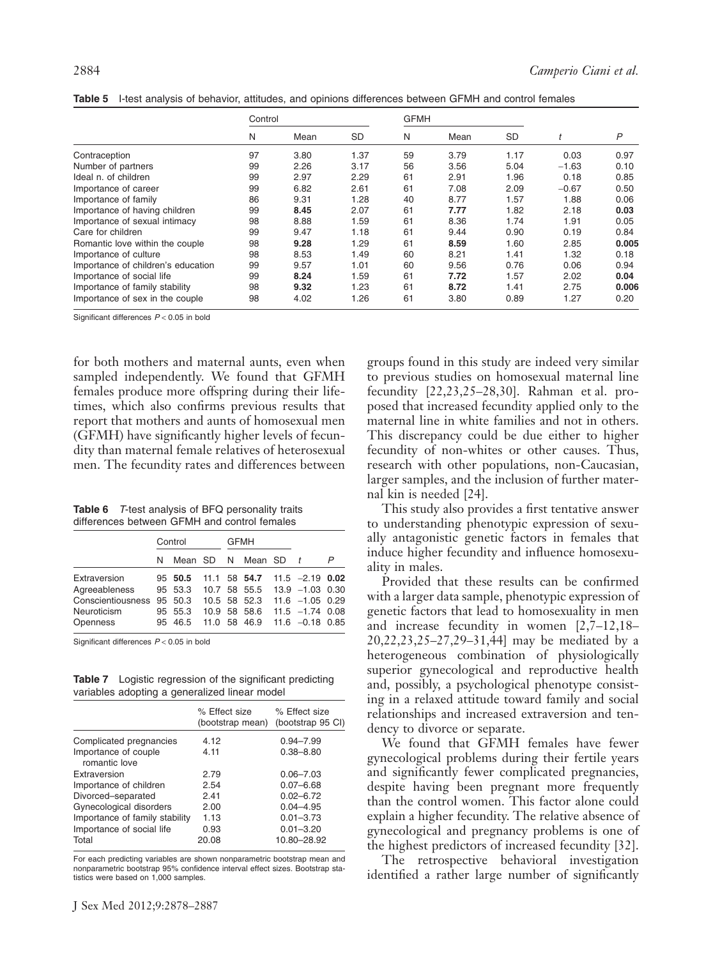|  |  |  |  |  | <b>Table 5</b> I-test analysis of behavior, attitudes, and opinions differences between GFMH and control females |
|--|--|--|--|--|------------------------------------------------------------------------------------------------------------------|
|--|--|--|--|--|------------------------------------------------------------------------------------------------------------------|

|                                    | Control |      |      | <b>GFMH</b> |      |           |         |       |
|------------------------------------|---------|------|------|-------------|------|-----------|---------|-------|
|                                    | N       | Mean | SD   | N           | Mean | <b>SD</b> | t       | P     |
| Contraception                      | 97      | 3.80 | 1.37 | 59          | 3.79 | 1.17      | 0.03    | 0.97  |
| Number of partners                 | 99      | 2.26 | 3.17 | 56          | 3.56 | 5.04      | $-1.63$ | 0.10  |
| Ideal n. of children               | 99      | 2.97 | 2.29 | 61          | 2.91 | 1.96      | 0.18    | 0.85  |
| Importance of career               | 99      | 6.82 | 2.61 | 61          | 7.08 | 2.09      | $-0.67$ | 0.50  |
| Importance of family               | 86      | 9.31 | 1.28 | 40          | 8.77 | 1.57      | 1.88    | 0.06  |
| Importance of having children      | 99      | 8.45 | 2.07 | 61          | 7.77 | 1.82      | 2.18    | 0.03  |
| Importance of sexual intimacy      | 98      | 8.88 | 1.59 | 61          | 8.36 | 1.74      | 1.91    | 0.05  |
| Care for children                  | 99      | 9.47 | 1.18 | 61          | 9.44 | 0.90      | 0.19    | 0.84  |
| Romantic love within the couple    | 98      | 9.28 | 1.29 | 61          | 8.59 | 1.60      | 2.85    | 0.005 |
| Importance of culture              | 98      | 8.53 | 1.49 | 60          | 8.21 | 1.41      | 1.32    | 0.18  |
| Importance of children's education | 99      | 9.57 | 1.01 | 60          | 9.56 | 0.76      | 0.06    | 0.94  |
| Importance of social life          | 99      | 8.24 | 1.59 | 61          | 7.72 | 1.57      | 2.02    | 0.04  |
| Importance of family stability     | 98      | 9.32 | 1.23 | 61          | 8.72 | 1.41      | 2.75    | 0.006 |
| Importance of sex in the couple    | 98      | 4.02 | 1.26 | 61          | 3.80 | 0.89      | 1.27    | 0.20  |

Significant differences *P* < 0.05 in bold

for both mothers and maternal aunts, even when sampled independently. We found that GFMH females produce more offspring during their lifetimes, which also confirms previous results that report that mothers and aunts of homosexual men (GFMH) have significantly higher levels of fecundity than maternal female relatives of heterosexual men. The fecundity rates and differences between

**Table 6** *T*-test analysis of BFQ personality traits differences between GFMH and control females

| Control |  |                                          |  |             |                                                                                                                                                                                                     |
|---------|--|------------------------------------------|--|-------------|-----------------------------------------------------------------------------------------------------------------------------------------------------------------------------------------------------|
| N       |  |                                          |  |             | P                                                                                                                                                                                                   |
|         |  |                                          |  |             |                                                                                                                                                                                                     |
|         |  |                                          |  |             |                                                                                                                                                                                                     |
|         |  |                                          |  |             |                                                                                                                                                                                                     |
|         |  |                                          |  |             |                                                                                                                                                                                                     |
|         |  |                                          |  |             |                                                                                                                                                                                                     |
|         |  | 95 50.5<br>95 50.3<br>95 55.3<br>95 46.5 |  | <b>GFMH</b> | Mean SD N Mean SD t<br>11.1 58 54.7 11.5 $-2.19$ 0.02<br>95 53.3 10.7 58 55.5 13.9 -1.03 0.30<br>$10.5$ 58 52.3 11.6 $-1.05$ 0.29<br>10.9 58 58.6 11.5 -1.74 0.08<br>11.0 58 46.9 11.6 $-0.18$ 0.85 |

Significant differences *P* < 0.05 in bold

**Table 7** Logistic regression of the significant predicting variables adopting a generalized linear model

|                                       | % Effect size<br>(bootstrap mean) | % Effect size<br>(bootstrap 95 CI) |
|---------------------------------------|-----------------------------------|------------------------------------|
| Complicated pregnancies               | 4.12                              | $0.94 - 7.99$                      |
| Importance of couple<br>romantic love | 4.11                              | $0.38 - 8.80$                      |
| Extraversion                          | 2.79                              | $0.06 - 7.03$                      |
| Importance of children                | 2.54                              | $0.07 - 6.68$                      |
| Divorced-separated                    | 2.41                              | $0.02 - 6.72$                      |
| Gynecological disorders               | 2.00                              | $0.04 - 4.95$                      |
| Importance of family stability        | 1.13                              | $0.01 - 3.73$                      |
| Importance of social life             | 0.93                              | $0.01 - 3.20$                      |
| Total                                 | 20.08                             | 10.80-28.92                        |

For each predicting variables are shown nonparametric bootstrap mean and nonparametric bootstrap 95% confidence interval effect sizes. Bootstrap statistics were based on 1,000 samples.

groups found in this study are indeed very similar to previous studies on homosexual maternal line fecundity [22,23,25–28,30]. Rahman et al. proposed that increased fecundity applied only to the maternal line in white families and not in others. This discrepancy could be due either to higher fecundity of non-whites or other causes. Thus, research with other populations, non-Caucasian, larger samples, and the inclusion of further maternal kin is needed [24].

This study also provides a first tentative answer to understanding phenotypic expression of sexually antagonistic genetic factors in females that induce higher fecundity and influence homosexuality in males.

Provided that these results can be confirmed with a larger data sample, phenotypic expression of genetic factors that lead to homosexuality in men and increase fecundity in women [2,7–12,18– 20,22,23,25–27,29–31,44] may be mediated by a heterogeneous combination of physiologically superior gynecological and reproductive health and, possibly, a psychological phenotype consisting in a relaxed attitude toward family and social relationships and increased extraversion and tendency to divorce or separate.

We found that GFMH females have fewer gynecological problems during their fertile years and significantly fewer complicated pregnancies, despite having been pregnant more frequently than the control women. This factor alone could explain a higher fecundity. The relative absence of gynecological and pregnancy problems is one of the highest predictors of increased fecundity [32].

The retrospective behavioral investigation identified a rather large number of significantly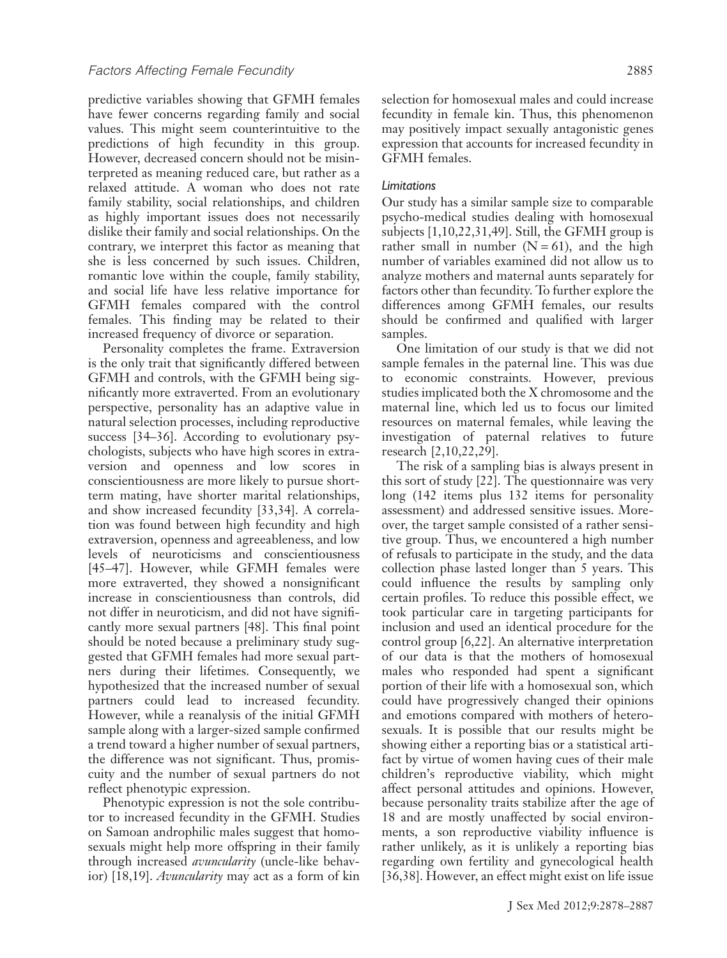predictive variables showing that GFMH females have fewer concerns regarding family and social values. This might seem counterintuitive to the predictions of high fecundity in this group. However, decreased concern should not be misinterpreted as meaning reduced care, but rather as a relaxed attitude. A woman who does not rate family stability, social relationships, and children as highly important issues does not necessarily dislike their family and social relationships. On the contrary, we interpret this factor as meaning that she is less concerned by such issues. Children, romantic love within the couple, family stability, and social life have less relative importance for GFMH females compared with the control females. This finding may be related to their increased frequency of divorce or separation.

Personality completes the frame. Extraversion is the only trait that significantly differed between GFMH and controls, with the GFMH being significantly more extraverted. From an evolutionary perspective, personality has an adaptive value in natural selection processes, including reproductive success [34–36]. According to evolutionary psychologists, subjects who have high scores in extraversion and openness and low scores in conscientiousness are more likely to pursue shortterm mating, have shorter marital relationships, and show increased fecundity [33,34]. A correlation was found between high fecundity and high extraversion, openness and agreeableness, and low levels of neuroticisms and conscientiousness [45–47]. However, while GFMH females were more extraverted, they showed a nonsignificant increase in conscientiousness than controls, did not differ in neuroticism, and did not have significantly more sexual partners [48]. This final point should be noted because a preliminary study suggested that GFMH females had more sexual partners during their lifetimes. Consequently, we hypothesized that the increased number of sexual partners could lead to increased fecundity. However, while a reanalysis of the initial GFMH sample along with a larger-sized sample confirmed a trend toward a higher number of sexual partners, the difference was not significant. Thus, promiscuity and the number of sexual partners do not reflect phenotypic expression.

Phenotypic expression is not the sole contributor to increased fecundity in the GFMH. Studies on Samoan androphilic males suggest that homosexuals might help more offspring in their family through increased *avuncularity* (uncle-like behavior) [18,19]. *Avuncularity* may act as a form of kin

selection for homosexual males and could increase fecundity in female kin. Thus, this phenomenon may positively impact sexually antagonistic genes expression that accounts for increased fecundity in GFMH females.

## *Limitations*

Our study has a similar sample size to comparable psycho-medical studies dealing with homosexual subjects [1,10,22,31,49]. Still, the GFMH group is rather small in number  $(N = 61)$ , and the high number of variables examined did not allow us to analyze mothers and maternal aunts separately for factors other than fecundity. To further explore the differences among GFMH females, our results should be confirmed and qualified with larger samples.

One limitation of our study is that we did not sample females in the paternal line. This was due economic constraints. However, previous studies implicated both the X chromosome and the maternal line, which led us to focus our limited resources on maternal females, while leaving the investigation of paternal relatives to future research [2,10,22,29].

The risk of a sampling bias is always present in this sort of study [22]. The questionnaire was very long (142 items plus 132 items for personality assessment) and addressed sensitive issues. Moreover, the target sample consisted of a rather sensitive group. Thus, we encountered a high number of refusals to participate in the study, and the data collection phase lasted longer than 5 years. This could influence the results by sampling only certain profiles. To reduce this possible effect, we took particular care in targeting participants for inclusion and used an identical procedure for the control group [6,22]. An alternative interpretation of our data is that the mothers of homosexual males who responded had spent a significant portion of their life with a homosexual son, which could have progressively changed their opinions and emotions compared with mothers of heterosexuals. It is possible that our results might be showing either a reporting bias or a statistical artifact by virtue of women having cues of their male children's reproductive viability, which might affect personal attitudes and opinions. However, because personality traits stabilize after the age of 18 and are mostly unaffected by social environments, a son reproductive viability influence is rather unlikely, as it is unlikely a reporting bias regarding own fertility and gynecological health [36,38]. However, an effect might exist on life issue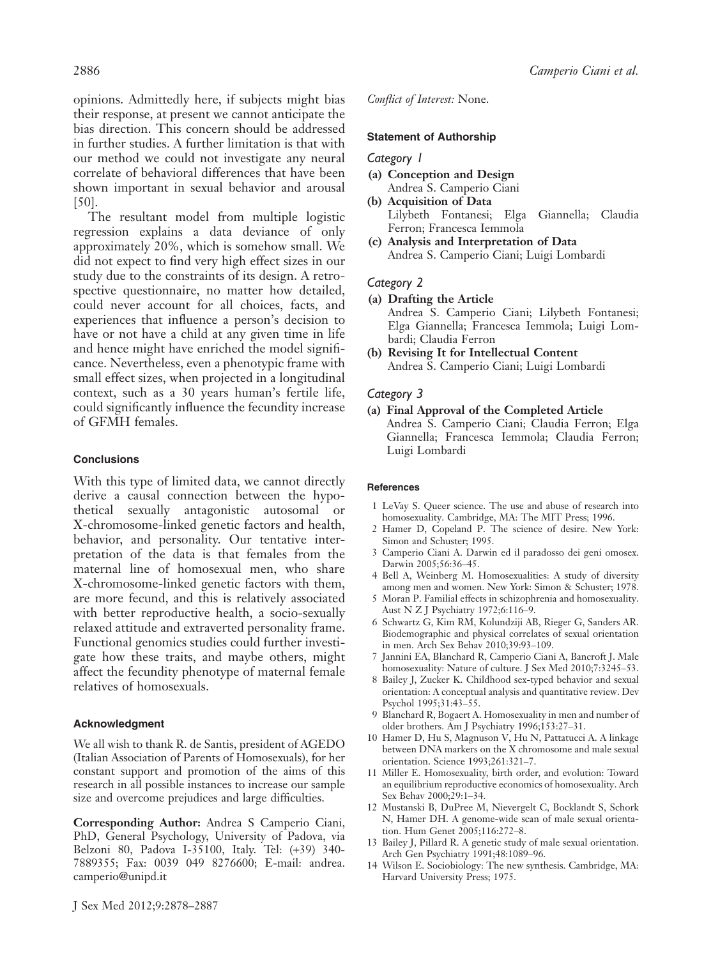opinions. Admittedly here, if subjects might bias their response, at present we cannot anticipate the bias direction. This concern should be addressed in further studies. A further limitation is that with our method we could not investigate any neural correlate of behavioral differences that have been shown important in sexual behavior and arousal [50].

The resultant model from multiple logistic regression explains a data deviance of only approximately 20%, which is somehow small. We did not expect to find very high effect sizes in our study due to the constraints of its design. A retrospective questionnaire, no matter how detailed, could never account for all choices, facts, and experiences that influence a person's decision to have or not have a child at any given time in life and hence might have enriched the model significance. Nevertheless, even a phenotypic frame with small effect sizes, when projected in a longitudinal context, such as a 30 years human's fertile life, could significantly influence the fecundity increase of GFMH females.

#### **Conclusions**

With this type of limited data, we cannot directly derive a causal connection between the hypothetical sexually antagonistic autosomal or X-chromosome-linked genetic factors and health, behavior, and personality. Our tentative interpretation of the data is that females from the maternal line of homosexual men, who share X-chromosome-linked genetic factors with them, are more fecund, and this is relatively associated with better reproductive health, a socio-sexually relaxed attitude and extraverted personality frame. Functional genomics studies could further investigate how these traits, and maybe others, might affect the fecundity phenotype of maternal female relatives of homosexuals.

#### **Acknowledgment**

We all wish to thank R. de Santis, president of AGEDO (Italian Association of Parents of Homosexuals), for her constant support and promotion of the aims of this research in all possible instances to increase our sample size and overcome prejudices and large difficulties.

**Corresponding Author:** Andrea S Camperio Ciani, PhD, General Psychology, University of Padova, via Belzoni 80, Padova I-35100, Italy. Tel: (+39) 340- 7889355; Fax: 0039 049 8276600; E-mail: andrea. camperio@unipd.it

*Conflict of Interest:* None.

#### **Statement of Authorship**

## *Category 1*

- **(a) Conception and Design** Andrea S. Camperio Ciani
- **(b) Acquisition of Data** Lilybeth Fontanesi; Elga Giannella; Claudia Ferron; Francesca Iemmola
- **(c) Analysis and Interpretation of Data** Andrea S. Camperio Ciani; Luigi Lombardi

#### *Category 2*

**(a) Drafting the Article**

Andrea S. Camperio Ciani; Lilybeth Fontanesi; Elga Giannella; Francesca Iemmola; Luigi Lombardi; Claudia Ferron

**(b) Revising It for Intellectual Content** Andrea S. Camperio Ciani; Luigi Lombardi

#### *Category 3*

- **(a) Final Approval of the Completed Article**
	- Andrea S. Camperio Ciani; Claudia Ferron; Elga Giannella; Francesca Iemmola; Claudia Ferron; Luigi Lombardi

#### **References**

- 1 LeVay S. Queer science. The use and abuse of research into homosexuality. Cambridge, MA: The MIT Press; 1996.
- 2 Hamer D, Copeland P. The science of desire. New York: Simon and Schuster; 1995.
- 3 Camperio Ciani A. Darwin ed il paradosso dei geni omosex. Darwin 2005;56:36–45.
- 4 Bell A, Weinberg M. Homosexualities: A study of diversity among men and women. New York: Simon & Schuster; 1978.
- 5 Moran P. Familial effects in schizophrenia and homosexuality. Aust N Z J Psychiatry 1972;6:116–9.
- 6 Schwartz G, Kim RM, Kolundziji AB, Rieger G, Sanders AR. Biodemographic and physical correlates of sexual orientation in men. Arch Sex Behav 2010;39:93–109.
- 7 Jannini EA, Blanchard R, Camperio Ciani A, Bancroft J. Male homosexuality: Nature of culture. J Sex Med 2010;7:3245–53.
- 8 Bailey J, Zucker K. Childhood sex-typed behavior and sexual orientation: A conceptual analysis and quantitative review. Dev Psychol 1995;31:43–55.
- 9 Blanchard R, Bogaert A. Homosexuality in men and number of older brothers. Am J Psychiatry 1996;153:27–31.
- 10 Hamer D, Hu S, Magnuson V, Hu N, Pattatucci A. A linkage between DNA markers on the X chromosome and male sexual orientation. Science 1993;261:321–7.
- 11 Miller E. Homosexuality, birth order, and evolution: Toward an equilibrium reproductive economics of homosexuality. Arch Sex Behav 2000;29:1–34.
- 12 Mustanski B, DuPree M, Nievergelt C, Bocklandt S, Schork N, Hamer DH. A genome-wide scan of male sexual orientation. Hum Genet 2005;116:272–8.
- 13 Bailey J, Pillard R. A genetic study of male sexual orientation. Arch Gen Psychiatry 1991;48:1089–96.
- 14 Wilson E. Sociobiology: The new synthesis. Cambridge, MA: Harvard University Press; 1975.